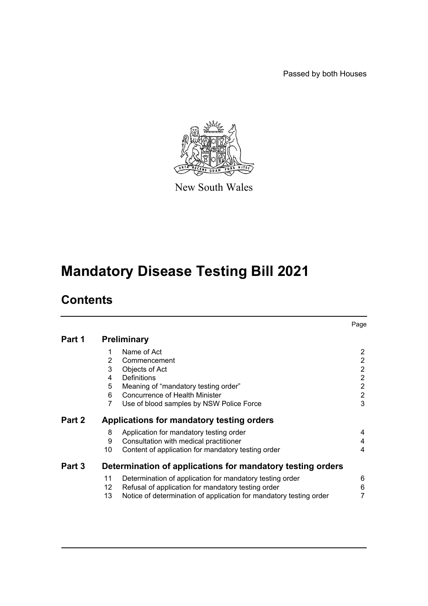Passed by both Houses



New South Wales

# **Mandatory Disease Testing Bill 2021**

# **Contents**

|        |                                                            |                                                                    | Page                     |  |  |
|--------|------------------------------------------------------------|--------------------------------------------------------------------|--------------------------|--|--|
| Part 1 | <b>Preliminary</b>                                         |                                                                    |                          |  |  |
|        | 1                                                          | Name of Act                                                        | $\mathbf{2}$             |  |  |
|        | 2                                                          | Commencement                                                       | $\overline{2}$           |  |  |
|        | 3                                                          | Objects of Act                                                     | $\overline{2}$           |  |  |
|        | 4                                                          | Definitions                                                        | $\overline{2}$           |  |  |
|        | 5                                                          | Meaning of "mandatory testing order"                               | $\overline{2}$           |  |  |
|        | 6                                                          | Concurrence of Health Minister                                     | $\overline{2}$           |  |  |
|        | 7                                                          | Use of blood samples by NSW Police Force                           | 3                        |  |  |
| Part 2 | Applications for mandatory testing orders                  |                                                                    |                          |  |  |
|        | 8                                                          | Application for mandatory testing order                            | 4                        |  |  |
|        | 9                                                          | Consultation with medical practitioner                             | 4                        |  |  |
|        | 10                                                         | Content of application for mandatory testing order                 | $\overline{\mathcal{A}}$ |  |  |
| Part 3 | Determination of applications for mandatory testing orders |                                                                    |                          |  |  |
|        | 11                                                         | Determination of application for mandatory testing order           | 6                        |  |  |
|        | 12                                                         | Refusal of application for mandatory testing order                 | 6                        |  |  |
|        | 13                                                         | Notice of determination of application for mandatory testing order | 7                        |  |  |
|        |                                                            |                                                                    |                          |  |  |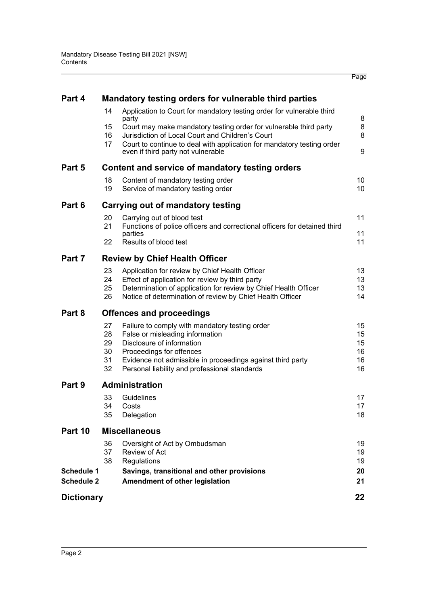| Part 4                                 |                                                 | Mandatory testing orders for vulnerable third parties                                                                                                                                                                                                     |                                  |  |  |  |  |
|----------------------------------------|-------------------------------------------------|-----------------------------------------------------------------------------------------------------------------------------------------------------------------------------------------------------------------------------------------------------------|----------------------------------|--|--|--|--|
|                                        | 14                                              | Application to Court for mandatory testing order for vulnerable third                                                                                                                                                                                     |                                  |  |  |  |  |
|                                        | 15<br>16<br>17                                  | party<br>Court may make mandatory testing order for vulnerable third party<br>Jurisdiction of Local Court and Children's Court<br>Court to continue to deal with application for mandatory testing order<br>even if third party not vulnerable            | 8<br>8<br>8<br>9                 |  |  |  |  |
| Part 5                                 | Content and service of mandatory testing orders |                                                                                                                                                                                                                                                           |                                  |  |  |  |  |
|                                        | 18<br>19                                        | Content of mandatory testing order<br>Service of mandatory testing order                                                                                                                                                                                  | 10<br>10 <sup>°</sup>            |  |  |  |  |
| Part 6                                 | Carrying out of mandatory testing               |                                                                                                                                                                                                                                                           |                                  |  |  |  |  |
|                                        | 20<br>21                                        | Carrying out of blood test<br>Functions of police officers and correctional officers for detained third<br>parties                                                                                                                                        | 11<br>11                         |  |  |  |  |
|                                        | 22                                              | Results of blood test                                                                                                                                                                                                                                     | 11                               |  |  |  |  |
| Part 7                                 | <b>Review by Chief Health Officer</b>           |                                                                                                                                                                                                                                                           |                                  |  |  |  |  |
|                                        | 23<br>24<br>25<br>26                            | Application for review by Chief Health Officer<br>Effect of application for review by third party<br>Determination of application for review by Chief Health Officer<br>Notice of determination of review by Chief Health Officer                         | 13<br>13<br>13<br>14             |  |  |  |  |
| Part 8                                 | <b>Offences and proceedings</b>                 |                                                                                                                                                                                                                                                           |                                  |  |  |  |  |
|                                        | 27<br>28<br>29<br>30<br>31<br>32                | Failure to comply with mandatory testing order<br>False or misleading information<br>Disclosure of information<br>Proceedings for offences<br>Evidence not admissible in proceedings against third party<br>Personal liability and professional standards | 15<br>15<br>15<br>16<br>16<br>16 |  |  |  |  |
| Part 9                                 | <b>Administration</b>                           |                                                                                                                                                                                                                                                           |                                  |  |  |  |  |
|                                        | 33<br>34<br>35                                  | Guidelines<br>Costs<br>Delegation                                                                                                                                                                                                                         | 17<br>17<br>18                   |  |  |  |  |
| Part 10                                | <b>Miscellaneous</b>                            |                                                                                                                                                                                                                                                           |                                  |  |  |  |  |
|                                        | 36<br>37<br>38                                  | Oversight of Act by Ombudsman<br>Review of Act<br>Regulations                                                                                                                                                                                             | 19<br>19<br>19                   |  |  |  |  |
| <b>Schedule 1</b><br><b>Schedule 2</b> |                                                 | Savings, transitional and other provisions<br>Amendment of other legislation                                                                                                                                                                              | 20<br>21                         |  |  |  |  |
| <b>Dictionary</b>                      |                                                 |                                                                                                                                                                                                                                                           | 22                               |  |  |  |  |

Page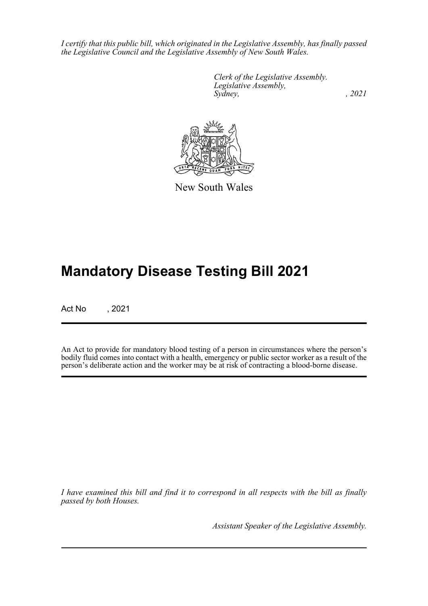*I certify that this public bill, which originated in the Legislative Assembly, has finally passed the Legislative Council and the Legislative Assembly of New South Wales.*

> *Clerk of the Legislative Assembly. Legislative Assembly, Sydney, , 2021*



New South Wales

# **Mandatory Disease Testing Bill 2021**

Act No , 2021

An Act to provide for mandatory blood testing of a person in circumstances where the person's bodily fluid comes into contact with a health, emergency or public sector worker as a result of the person's deliberate action and the worker may be at risk of contracting a blood-borne disease.

*I have examined this bill and find it to correspond in all respects with the bill as finally passed by both Houses.*

*Assistant Speaker of the Legislative Assembly.*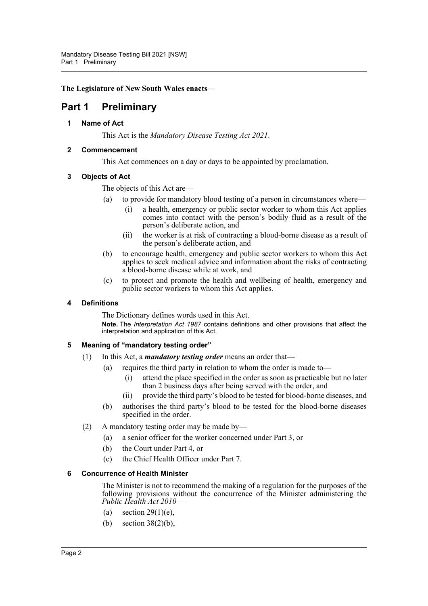**The Legislature of New South Wales enacts—**

# <span id="page-3-1"></span><span id="page-3-0"></span>**Part 1 Preliminary**

**1 Name of Act**

This Act is the *Mandatory Disease Testing Act 2021*.

# <span id="page-3-2"></span>**2 Commencement**

This Act commences on a day or days to be appointed by proclamation.

# <span id="page-3-3"></span>**3 Objects of Act**

The objects of this Act are—

- (a) to provide for mandatory blood testing of a person in circumstances where—
	- (i) a health, emergency or public sector worker to whom this Act applies comes into contact with the person's bodily fluid as a result of the person's deliberate action, and
	- (ii) the worker is at risk of contracting a blood-borne disease as a result of the person's deliberate action, and
- (b) to encourage health, emergency and public sector workers to whom this Act applies to seek medical advice and information about the risks of contracting a blood-borne disease while at work, and
- (c) to protect and promote the health and wellbeing of health, emergency and public sector workers to whom this Act applies.

# <span id="page-3-4"></span>**4 Definitions**

The Dictionary defines words used in this Act. **Note.** The *Interpretation Act 1987* contains definitions and other provisions that affect the interpretation and application of this Act.

# <span id="page-3-5"></span>**5 Meaning of "mandatory testing order"**

- (1) In this Act, a *mandatory testing order* means an order that—
	- (a) requires the third party in relation to whom the order is made to—
		- (i) attend the place specified in the order as soon as practicable but no later than 2 business days after being served with the order, and
		- (ii) provide the third party's blood to be tested for blood-borne diseases, and
	- (b) authorises the third party's blood to be tested for the blood-borne diseases specified in the order.
- (2) A mandatory testing order may be made by—
	- (a) a senior officer for the worker concerned under Part 3, or
	- (b) the Court under Part 4, or
	- (c) the Chief Health Officer under Part 7.

#### <span id="page-3-6"></span>**6 Concurrence of Health Minister**

The Minister is not to recommend the making of a regulation for the purposes of the following provisions without the concurrence of the Minister administering the *Public Health Act 2010*—

- (a) section  $29(1)(e)$ ,
- (b) section 38(2)(b),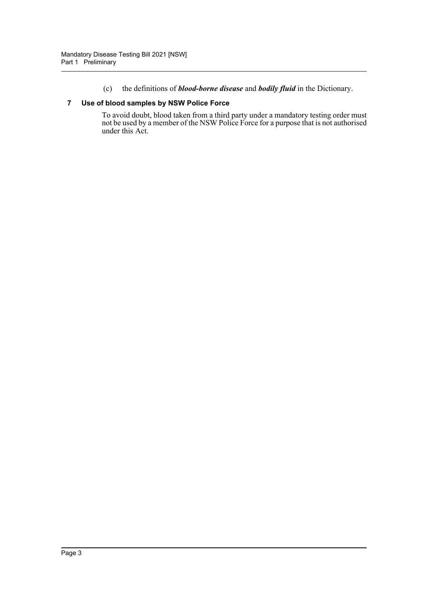(c) the definitions of *blood-borne disease* and *bodily fluid* in the Dictionary.

### <span id="page-4-0"></span>**7 Use of blood samples by NSW Police Force**

To avoid doubt, blood taken from a third party under a mandatory testing order must not be used by a member of the NSW Police Force for a purpose that is not authorised under this Act.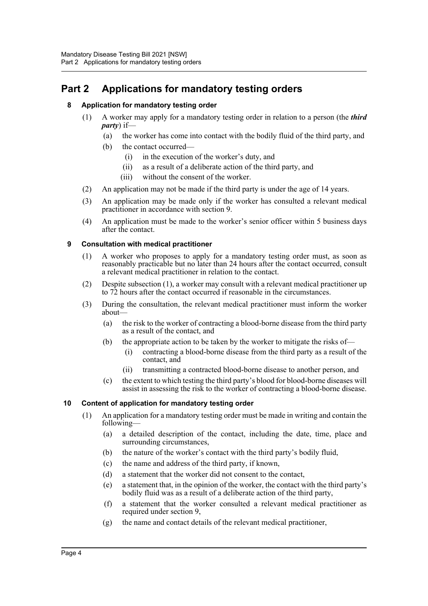# <span id="page-5-1"></span><span id="page-5-0"></span>**Part 2 Applications for mandatory testing orders**

# **8 Application for mandatory testing order**

- (1) A worker may apply for a mandatory testing order in relation to a person (the *third party*) if—
	- (a) the worker has come into contact with the bodily fluid of the third party, and
	- (b) the contact occurred—
		- (i) in the execution of the worker's duty, and
		- (ii) as a result of a deliberate action of the third party, and
		- (iii) without the consent of the worker.
- (2) An application may not be made if the third party is under the age of 14 years.
- (3) An application may be made only if the worker has consulted a relevant medical practitioner in accordance with section 9.
- (4) An application must be made to the worker's senior officer within 5 business days after the contact.

### <span id="page-5-2"></span>**9 Consultation with medical practitioner**

- (1) A worker who proposes to apply for a mandatory testing order must, as soon as reasonably practicable but no later than 24 hours after the contact occurred, consult a relevant medical practitioner in relation to the contact.
- (2) Despite subsection (1), a worker may consult with a relevant medical practitioner up to 72 hours after the contact occurred if reasonable in the circumstances.
- (3) During the consultation, the relevant medical practitioner must inform the worker about—
	- (a) the risk to the worker of contracting a blood-borne disease from the third party as a result of the contact, and
	- (b) the appropriate action to be taken by the worker to mitigate the risks of—
		- (i) contracting a blood-borne disease from the third party as a result of the contact, and
		- (ii) transmitting a contracted blood-borne disease to another person, and
	- (c) the extent to which testing the third party's blood for blood-borne diseases will assist in assessing the risk to the worker of contracting a blood-borne disease.

# <span id="page-5-3"></span>**10 Content of application for mandatory testing order**

- (1) An application for a mandatory testing order must be made in writing and contain the following—
	- (a) a detailed description of the contact, including the date, time, place and surrounding circumstances,
	- (b) the nature of the worker's contact with the third party's bodily fluid,
	- (c) the name and address of the third party, if known,
	- (d) a statement that the worker did not consent to the contact,
	- (e) a statement that, in the opinion of the worker, the contact with the third party's bodily fluid was as a result of a deliberate action of the third party,
	- (f) a statement that the worker consulted a relevant medical practitioner as required under section 9,
	- (g) the name and contact details of the relevant medical practitioner,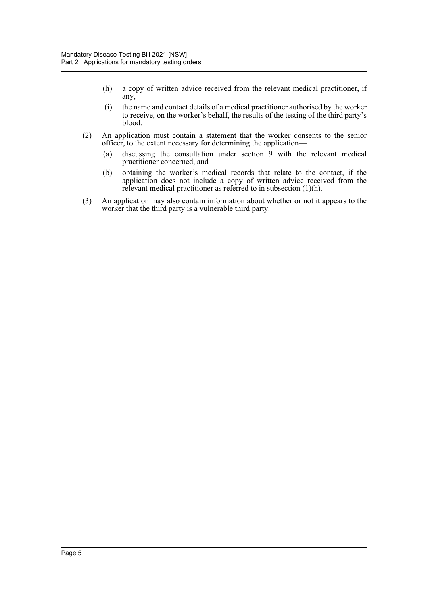- (h) a copy of written advice received from the relevant medical practitioner, if any,
- (i) the name and contact details of a medical practitioner authorised by the worker to receive, on the worker's behalf, the results of the testing of the third party's blood.
- (2) An application must contain a statement that the worker consents to the senior officer, to the extent necessary for determining the application—
	- (a) discussing the consultation under section 9 with the relevant medical practitioner concerned, and
	- (b) obtaining the worker's medical records that relate to the contact, if the application does not include a copy of written advice received from the relevant medical practitioner as referred to in subsection (1)(h).
- (3) An application may also contain information about whether or not it appears to the worker that the third party is a vulnerable third party.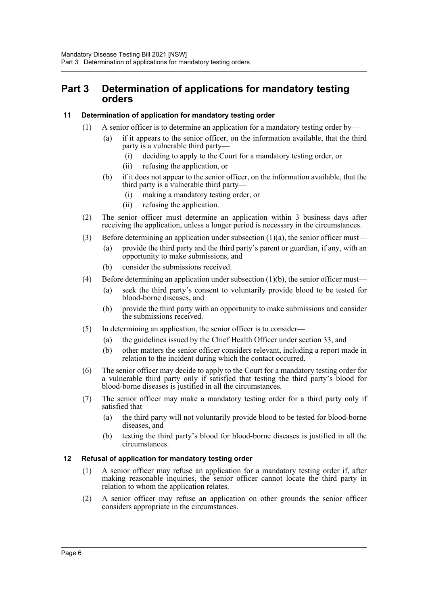# <span id="page-7-0"></span>**Part 3 Determination of applications for mandatory testing orders**

# <span id="page-7-1"></span>**11 Determination of application for mandatory testing order**

- (1) A senior officer is to determine an application for a mandatory testing order by—
	- (a) if it appears to the senior officer, on the information available, that the third party is a vulnerable third party-
		- (i) deciding to apply to the Court for a mandatory testing order, or
		- (ii) refusing the application, or
	- (b) if it does not appear to the senior officer, on the information available, that the third party is a vulnerable third party—
		- (i) making a mandatory testing order, or
		- (ii) refusing the application.
- (2) The senior officer must determine an application within 3 business days after receiving the application, unless a longer period is necessary in the circumstances.
- (3) Before determining an application under subsection  $(1)(a)$ , the senior officer must—
	- (a) provide the third party and the third party's parent or guardian, if any, with an opportunity to make submissions, and
	- (b) consider the submissions received.
- (4) Before determining an application under subsection (1)(b), the senior officer must—
	- (a) seek the third party's consent to voluntarily provide blood to be tested for blood-borne diseases, and
	- (b) provide the third party with an opportunity to make submissions and consider the submissions received.
- (5) In determining an application, the senior officer is to consider—
	- (a) the guidelines issued by the Chief Health Officer under section 33, and
	- (b) other matters the senior officer considers relevant, including a report made in relation to the incident during which the contact occurred.
- (6) The senior officer may decide to apply to the Court for a mandatory testing order for a vulnerable third party only if satisfied that testing the third party's blood for blood-borne diseases is justified in all the circumstances.
- (7) The senior officer may make a mandatory testing order for a third party only if satisfied that—
	- (a) the third party will not voluntarily provide blood to be tested for blood-borne diseases, and
	- (b) testing the third party's blood for blood-borne diseases is justified in all the circumstances.

#### <span id="page-7-2"></span>**12 Refusal of application for mandatory testing order**

- (1) A senior officer may refuse an application for a mandatory testing order if, after making reasonable inquiries, the senior officer cannot locate the third party in relation to whom the application relates.
- (2) A senior officer may refuse an application on other grounds the senior officer considers appropriate in the circumstances.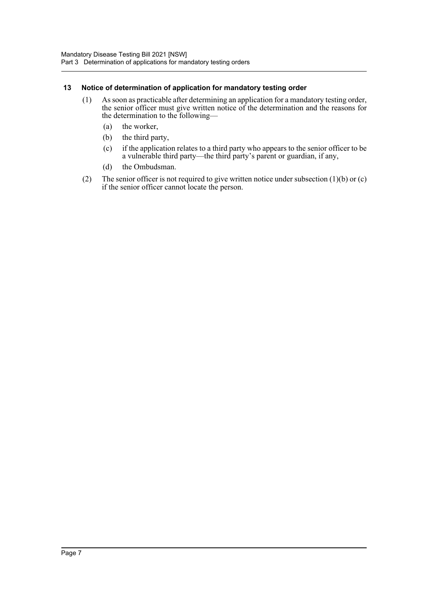### <span id="page-8-0"></span>**13 Notice of determination of application for mandatory testing order**

- (1) As soon as practicable after determining an application for a mandatory testing order, the senior officer must give written notice of the determination and the reasons for the determination to the following—
	- (a) the worker,
	- (b) the third party,
	- (c) if the application relates to a third party who appears to the senior officer to be a vulnerable third party—the third party's parent or guardian, if any,
	- (d) the Ombudsman.
- (2) The senior officer is not required to give written notice under subsection  $(1)(b)$  or  $(c)$ if the senior officer cannot locate the person.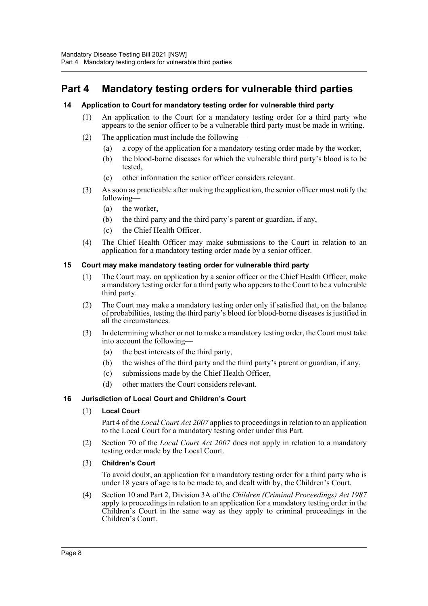# <span id="page-9-0"></span>**Part 4 Mandatory testing orders for vulnerable third parties**

# <span id="page-9-1"></span>**14 Application to Court for mandatory testing order for vulnerable third party**

- (1) An application to the Court for a mandatory testing order for a third party who appears to the senior officer to be a vulnerable third party must be made in writing.
- (2) The application must include the following—
	- (a) a copy of the application for a mandatory testing order made by the worker,
	- (b) the blood-borne diseases for which the vulnerable third party's blood is to be tested,
	- (c) other information the senior officer considers relevant.
- (3) As soon as practicable after making the application, the senior officer must notify the following—
	- (a) the worker,
	- (b) the third party and the third party's parent or guardian, if any,
	- (c) the Chief Health Officer.
- (4) The Chief Health Officer may make submissions to the Court in relation to an application for a mandatory testing order made by a senior officer.

### <span id="page-9-2"></span>**15 Court may make mandatory testing order for vulnerable third party**

- (1) The Court may, on application by a senior officer or the Chief Health Officer, make a mandatory testing order for a third party who appears to the Court to be a vulnerable third party.
- (2) The Court may make a mandatory testing order only if satisfied that, on the balance of probabilities, testing the third party's blood for blood-borne diseases is justified in all the circumstances.
- (3) In determining whether or not to make a mandatory testing order, the Court must take into account the following—
	- (a) the best interests of the third party,
	- (b) the wishes of the third party and the third party's parent or guardian, if any,
	- (c) submissions made by the Chief Health Officer,
	- (d) other matters the Court considers relevant.

#### <span id="page-9-3"></span>**16 Jurisdiction of Local Court and Children's Court**

#### (1) **Local Court**

Part 4 of the *Local Court Act 2007* applies to proceedings in relation to an application to the Local Court for a mandatory testing order under this Part.

- (2) Section 70 of the *Local Court Act 2007* does not apply in relation to a mandatory testing order made by the Local Court.
- (3) **Children's Court**

To avoid doubt, an application for a mandatory testing order for a third party who is under 18 years of age is to be made to, and dealt with by, the Children's Court.

(4) Section 10 and Part 2, Division 3A of the *Children (Criminal Proceedings) Act 1987* apply to proceedings in relation to an application for a mandatory testing order in the Children's Court in the same way as they apply to criminal proceedings in the Children's Court.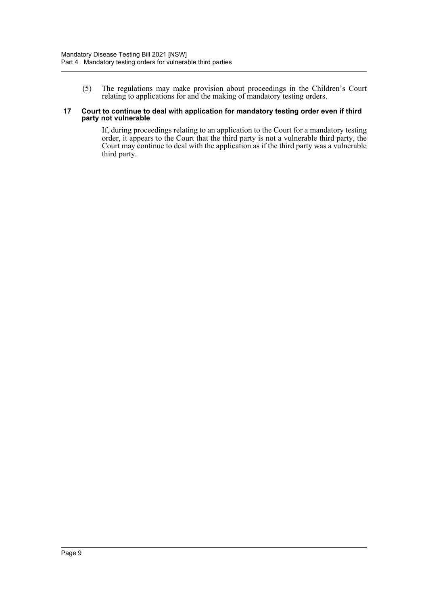(5) The regulations may make provision about proceedings in the Children's Court relating to applications for and the making of mandatory testing orders.

#### <span id="page-10-0"></span>**17 Court to continue to deal with application for mandatory testing order even if third party not vulnerable**

If, during proceedings relating to an application to the Court for a mandatory testing order, it appears to the Court that the third party is not a vulnerable third party, the Court may continue to deal with the application as if the third party was a vulnerable third party.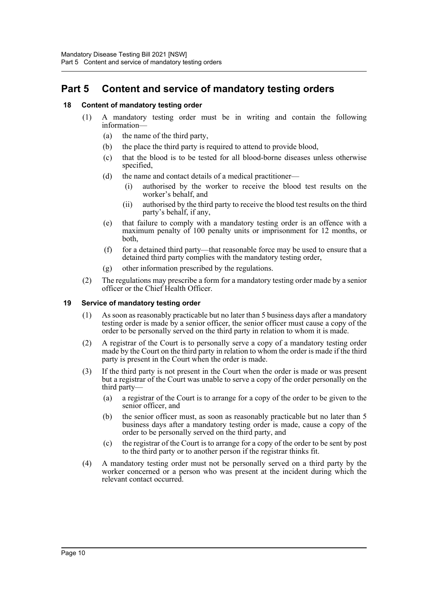# <span id="page-11-0"></span>**Part 5 Content and service of mandatory testing orders**

# <span id="page-11-1"></span>**18 Content of mandatory testing order**

- (1) A mandatory testing order must be in writing and contain the following information—
	- (a) the name of the third party,
	- (b) the place the third party is required to attend to provide blood,
	- (c) that the blood is to be tested for all blood-borne diseases unless otherwise specified,
	- (d) the name and contact details of a medical practitioner—
		- (i) authorised by the worker to receive the blood test results on the worker's behalf, and
		- (ii) authorised by the third party to receive the blood test results on the third party's behalf, if any,
	- (e) that failure to comply with a mandatory testing order is an offence with a maximum penalty of 100 penalty units or imprisonment for 12 months, or both,
	- (f) for a detained third party—that reasonable force may be used to ensure that a detained third party complies with the mandatory testing order,
	- (g) other information prescribed by the regulations.
- (2) The regulations may prescribe a form for a mandatory testing order made by a senior officer or the Chief Health Officer.

#### <span id="page-11-2"></span>**19 Service of mandatory testing order**

- (1) As soon as reasonably practicable but no later than 5 business days after a mandatory testing order is made by a senior officer, the senior officer must cause a copy of the order to be personally served on the third party in relation to whom it is made.
- (2) A registrar of the Court is to personally serve a copy of a mandatory testing order made by the Court on the third party in relation to whom the order is made if the third party is present in the Court when the order is made.
- (3) If the third party is not present in the Court when the order is made or was present but a registrar of the Court was unable to serve a copy of the order personally on the third party—
	- (a) a registrar of the Court is to arrange for a copy of the order to be given to the senior officer, and
	- (b) the senior officer must, as soon as reasonably practicable but no later than 5 business days after a mandatory testing order is made, cause a copy of the order to be personally served on the third party, and
	- (c) the registrar of the Court is to arrange for a copy of the order to be sent by post to the third party or to another person if the registrar thinks fit.
- (4) A mandatory testing order must not be personally served on a third party by the worker concerned or a person who was present at the incident during which the relevant contact occurred.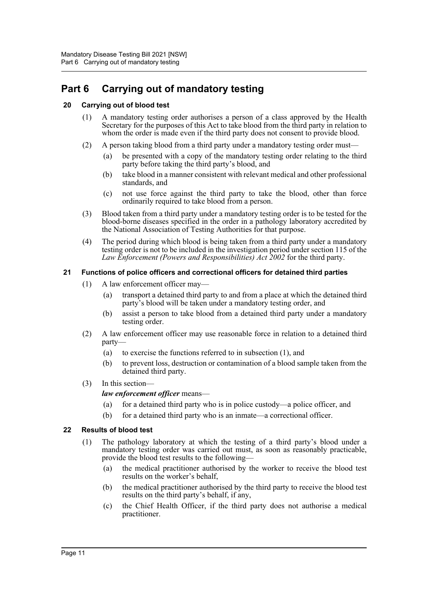# <span id="page-12-0"></span>**Part 6 Carrying out of mandatory testing**

# <span id="page-12-1"></span>**20 Carrying out of blood test**

- (1) A mandatory testing order authorises a person of a class approved by the Health Secretary for the purposes of this Act to take blood from the third party in relation to whom the order is made even if the third party does not consent to provide blood.
- (2) A person taking blood from a third party under a mandatory testing order must—
	- (a) be presented with a copy of the mandatory testing order relating to the third party before taking the third party's blood, and
	- (b) take blood in a manner consistent with relevant medical and other professional standards, and
	- (c) not use force against the third party to take the blood, other than force ordinarily required to take blood from a person.
- (3) Blood taken from a third party under a mandatory testing order is to be tested for the blood-borne diseases specified in the order in a pathology laboratory accredited by the National Association of Testing Authorities for that purpose.
- (4) The period during which blood is being taken from a third party under a mandatory testing order is not to be included in the investigation period under section 115 of the *Law Enforcement (Powers and Responsibilities) Act 2002* for the third party.

# <span id="page-12-2"></span>**21 Functions of police officers and correctional officers for detained third parties**

- (1) A law enforcement officer may—
	- (a) transport a detained third party to and from a place at which the detained third party's blood will be taken under a mandatory testing order, and
	- (b) assist a person to take blood from a detained third party under a mandatory testing order.
- (2) A law enforcement officer may use reasonable force in relation to a detained third party—
	- (a) to exercise the functions referred to in subsection (1), and
	- (b) to prevent loss, destruction or contamination of a blood sample taken from the detained third party.
- (3) In this section—

# *law enforcement officer* means—

- (a) for a detained third party who is in police custody—a police officer, and
- (b) for a detained third party who is an inmate—a correctional officer.

#### <span id="page-12-3"></span>**22 Results of blood test**

- (1) The pathology laboratory at which the testing of a third party's blood under a mandatory testing order was carried out must, as soon as reasonably practicable, provide the blood test results to the following—
	- (a) the medical practitioner authorised by the worker to receive the blood test results on the worker's behalf,
	- (b) the medical practitioner authorised by the third party to receive the blood test results on the third party's behalf, if any,
	- (c) the Chief Health Officer, if the third party does not authorise a medical practitioner.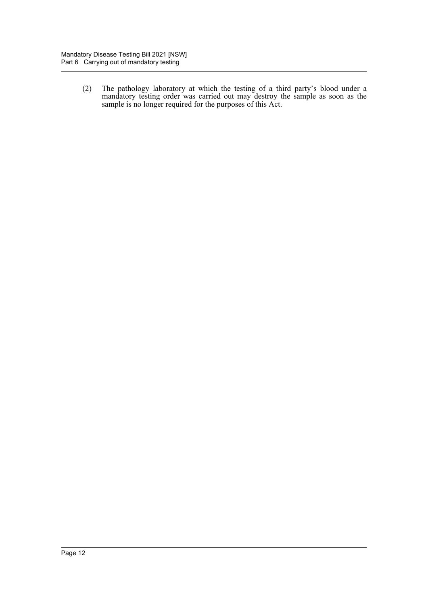(2) The pathology laboratory at which the testing of a third party's blood under a mandatory testing order was carried out may destroy the sample as soon as the sample is no longer required for the purposes of this Act.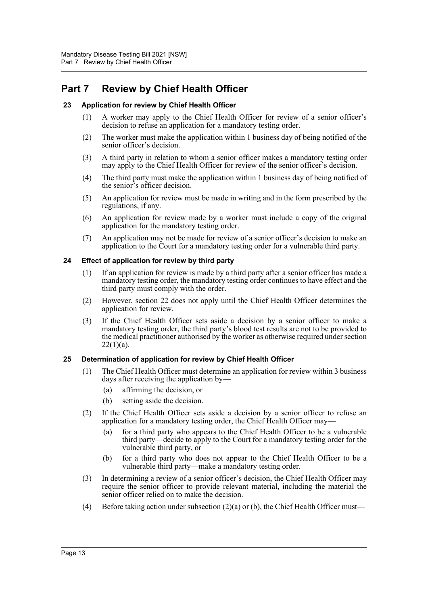# <span id="page-14-0"></span>**Part 7 Review by Chief Health Officer**

# <span id="page-14-1"></span>**23 Application for review by Chief Health Officer**

- (1) A worker may apply to the Chief Health Officer for review of a senior officer's decision to refuse an application for a mandatory testing order.
- (2) The worker must make the application within 1 business day of being notified of the senior officer's decision.
- (3) A third party in relation to whom a senior officer makes a mandatory testing order may apply to the Chief Health Officer for review of the senior officer's decision.
- (4) The third party must make the application within 1 business day of being notified of the senior's officer decision.
- (5) An application for review must be made in writing and in the form prescribed by the regulations, if any.
- (6) An application for review made by a worker must include a copy of the original application for the mandatory testing order.
- (7) An application may not be made for review of a senior officer's decision to make an application to the Court for a mandatory testing order for a vulnerable third party.

### <span id="page-14-2"></span>**24 Effect of application for review by third party**

- (1) If an application for review is made by a third party after a senior officer has made a mandatory testing order, the mandatory testing order continues to have effect and the third party must comply with the order.
- (2) However, section 22 does not apply until the Chief Health Officer determines the application for review.
- (3) If the Chief Health Officer sets aside a decision by a senior officer to make a mandatory testing order, the third party's blood test results are not to be provided to the medical practitioner authorised by the worker as otherwise required under section  $22(1)(a)$ .

#### <span id="page-14-3"></span>**25 Determination of application for review by Chief Health Officer**

- (1) The Chief Health Officer must determine an application for review within 3 business days after receiving the application by—
	- (a) affirming the decision, or
	- (b) setting aside the decision.
- (2) If the Chief Health Officer sets aside a decision by a senior officer to refuse an application for a mandatory testing order, the Chief Health Officer may—
	- (a) for a third party who appears to the Chief Health Officer to be a vulnerable third party—decide to apply to the Court for a mandatory testing order for the vulnerable third party, or
	- (b) for a third party who does not appear to the Chief Health Officer to be a vulnerable third party—make a mandatory testing order.
- (3) In determining a review of a senior officer's decision, the Chief Health Officer may require the senior officer to provide relevant material, including the material the senior officer relied on to make the decision.
- (4) Before taking action under subsection  $(2)(a)$  or (b), the Chief Health Officer must—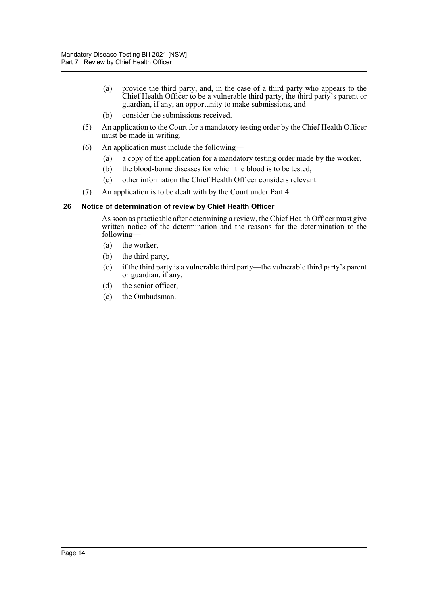- (a) provide the third party, and, in the case of a third party who appears to the Chief Health Officer to be a vulnerable third party, the third party's parent or guardian, if any, an opportunity to make submissions, and
- (b) consider the submissions received.
- (5) An application to the Court for a mandatory testing order by the Chief Health Officer must be made in writing.
- (6) An application must include the following—
	- (a) a copy of the application for a mandatory testing order made by the worker,
	- (b) the blood-borne diseases for which the blood is to be tested,
	- (c) other information the Chief Health Officer considers relevant.
- (7) An application is to be dealt with by the Court under Part 4.

### <span id="page-15-0"></span>**26 Notice of determination of review by Chief Health Officer**

As soon as practicable after determining a review, the Chief Health Officer must give written notice of the determination and the reasons for the determination to the following—

- (a) the worker,
- (b) the third party,
- (c) if the third party is a vulnerable third party—the vulnerable third party's parent or guardian, if any,
- (d) the senior officer,
- (e) the Ombudsman.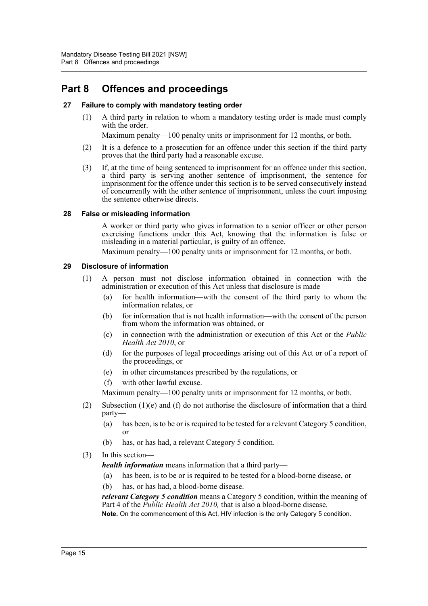# <span id="page-16-0"></span>**Part 8 Offences and proceedings**

# <span id="page-16-1"></span>**27 Failure to comply with mandatory testing order**

(1) A third party in relation to whom a mandatory testing order is made must comply with the order.

Maximum penalty—100 penalty units or imprisonment for 12 months, or both.

- (2) It is a defence to a prosecution for an offence under this section if the third party proves that the third party had a reasonable excuse.
- (3) If, at the time of being sentenced to imprisonment for an offence under this section, a third party is serving another sentence of imprisonment, the sentence for imprisonment for the offence under this section is to be served consecutively instead of concurrently with the other sentence of imprisonment, unless the court imposing the sentence otherwise directs.

#### <span id="page-16-2"></span>**28 False or misleading information**

A worker or third party who gives information to a senior officer or other person exercising functions under this Act, knowing that the information is false or misleading in a material particular, is guilty of an offence.

Maximum penalty—100 penalty units or imprisonment for 12 months, or both.

### <span id="page-16-3"></span>**29 Disclosure of information**

- (1) A person must not disclose information obtained in connection with the administration or execution of this Act unless that disclosure is made—
	- (a) for health information—with the consent of the third party to whom the information relates, or
	- (b) for information that is not health information—with the consent of the person from whom the information was obtained, or
	- (c) in connection with the administration or execution of this Act or the *Public Health Act 2010*, or
	- (d) for the purposes of legal proceedings arising out of this Act or of a report of the proceedings, or
	- (e) in other circumstances prescribed by the regulations, or
	- (f) with other lawful excuse.

Maximum penalty—100 penalty units or imprisonment for 12 months, or both.

- (2) Subsection  $(1)(e)$  and (f) do not authorise the disclosure of information that a third party—
	- (a) has been, is to be or is required to be tested for a relevant Category 5 condition, or
	- (b) has, or has had, a relevant Category 5 condition.
- (3) In this section—

*health information* means information that a third party—

- (a) has been, is to be or is required to be tested for a blood-borne disease, or
- (b) has, or has had, a blood-borne disease.

*relevant Category 5 condition* means a Category 5 condition, within the meaning of Part 4 of the *Public Health Act 2010,* that is also a blood-borne disease. **Note.** On the commencement of this Act, HIV infection is the only Category 5 condition.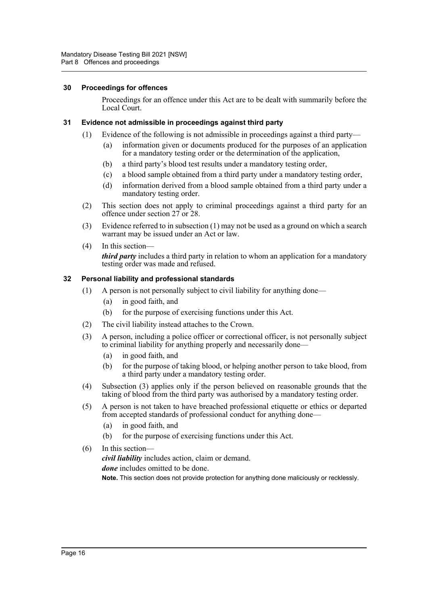#### <span id="page-17-0"></span>**30 Proceedings for offences**

Proceedings for an offence under this Act are to be dealt with summarily before the Local Court.

# <span id="page-17-1"></span>**31 Evidence not admissible in proceedings against third party**

- (1) Evidence of the following is not admissible in proceedings against a third party—
	- (a) information given or documents produced for the purposes of an application for a mandatory testing order or the determination of the application,
	- (b) a third party's blood test results under a mandatory testing order,
	- (c) a blood sample obtained from a third party under a mandatory testing order,
	- (d) information derived from a blood sample obtained from a third party under a mandatory testing order.
- (2) This section does not apply to criminal proceedings against a third party for an offence under section 27 or 28.
- (3) Evidence referred to in subsection (1) may not be used as a ground on which a search warrant may be issued under an Act or law.
- (4) In this section *third party* includes a third party in relation to whom an application for a mandatory testing order was made and refused.

### <span id="page-17-2"></span>**32 Personal liability and professional standards**

- (1) A person is not personally subject to civil liability for anything done—
	- (a) in good faith, and
	- (b) for the purpose of exercising functions under this Act.
- (2) The civil liability instead attaches to the Crown.
- (3) A person, including a police officer or correctional officer, is not personally subject to criminal liability for anything properly and necessarily done—
	- (a) in good faith, and
	- (b) for the purpose of taking blood, or helping another person to take blood, from a third party under a mandatory testing order.
- (4) Subsection (3) applies only if the person believed on reasonable grounds that the taking of blood from the third party was authorised by a mandatory testing order.
- (5) A person is not taken to have breached professional etiquette or ethics or departed from accepted standards of professional conduct for anything done—
	- (a) in good faith, and
	- (b) for the purpose of exercising functions under this Act.
- (6) In this section *civil liability* includes action, claim or demand. *done* includes omitted to be done. **Note.** This section does not provide protection for anything done maliciously or recklessly.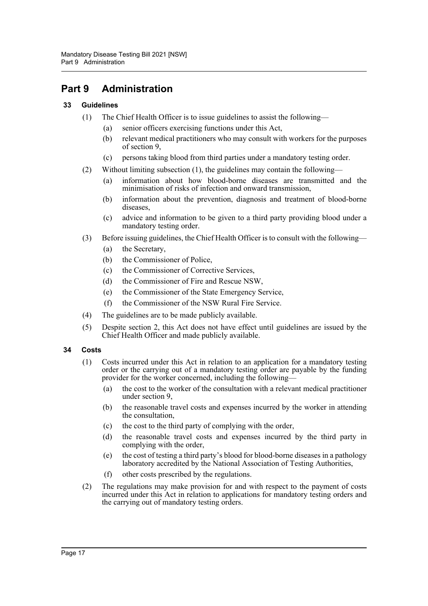# <span id="page-18-0"></span>**Part 9 Administration**

# <span id="page-18-1"></span>**33 Guidelines**

- (1) The Chief Health Officer is to issue guidelines to assist the following—
	- (a) senior officers exercising functions under this Act,
	- (b) relevant medical practitioners who may consult with workers for the purposes of section 9,
	- (c) persons taking blood from third parties under a mandatory testing order.
- (2) Without limiting subsection (1), the guidelines may contain the following—
	- (a) information about how blood-borne diseases are transmitted and the minimisation of risks of infection and onward transmission,
	- (b) information about the prevention, diagnosis and treatment of blood-borne diseases,
	- (c) advice and information to be given to a third party providing blood under a mandatory testing order.
- (3) Before issuing guidelines, the Chief Health Officer is to consult with the following—
	- (a) the Secretary,
	- (b) the Commissioner of Police,
	- (c) the Commissioner of Corrective Services,
	- (d) the Commissioner of Fire and Rescue NSW,
	- (e) the Commissioner of the State Emergency Service,
	- (f) the Commissioner of the NSW Rural Fire Service.
- (4) The guidelines are to be made publicly available.
- (5) Despite section 2, this Act does not have effect until guidelines are issued by the Chief Health Officer and made publicly available.

# <span id="page-18-2"></span>**34 Costs**

- (1) Costs incurred under this Act in relation to an application for a mandatory testing order or the carrying out of a mandatory testing order are payable by the funding provider for the worker concerned, including the following—
	- (a) the cost to the worker of the consultation with a relevant medical practitioner under section 9,
	- (b) the reasonable travel costs and expenses incurred by the worker in attending the consultation,
	- (c) the cost to the third party of complying with the order,
	- (d) the reasonable travel costs and expenses incurred by the third party in complying with the order,
	- (e) the cost of testing a third party's blood for blood-borne diseases in a pathology laboratory accredited by the National Association of Testing Authorities,
	- (f) other costs prescribed by the regulations.
- (2) The regulations may make provision for and with respect to the payment of costs incurred under this Act in relation to applications for mandatory testing orders and the carrying out of mandatory testing orders.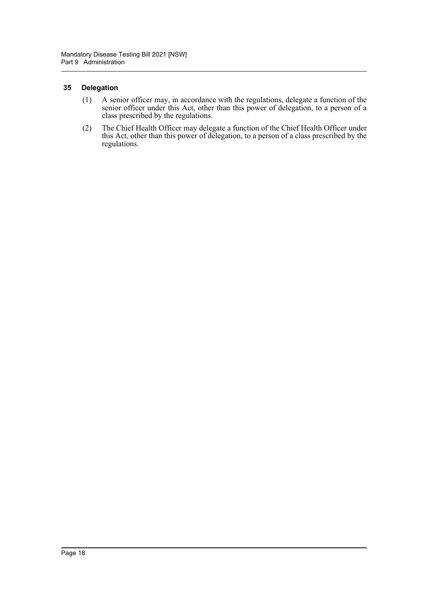### <span id="page-19-0"></span>**35 Delegation**

- (1) A senior officer may, in accordance with the regulations, delegate a function of the senior officer under this Act, other than this power of delegation, to a person of a class prescribed by the regulations.
- (2) The Chief Health Officer may delegate a function of the Chief Health Officer under this Act, other than this power of delegation, to a person of a class prescribed by the regulations.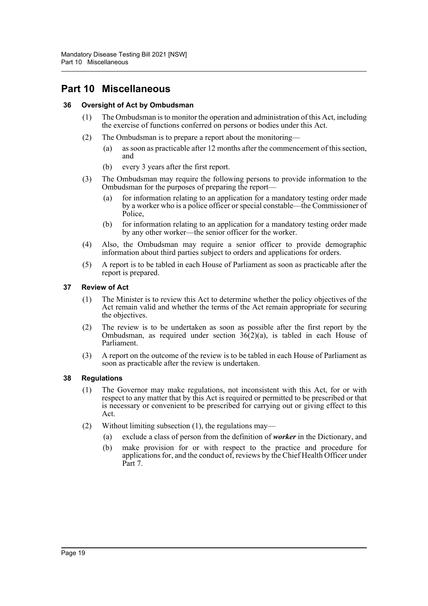# <span id="page-20-0"></span>**Part 10 Miscellaneous**

# <span id="page-20-1"></span>**36 Oversight of Act by Ombudsman**

- (1) The Ombudsman is to monitor the operation and administration of this Act, including the exercise of functions conferred on persons or bodies under this Act.
- (2) The Ombudsman is to prepare a report about the monitoring—
	- (a) as soon as practicable after 12 months after the commencement of this section, and
	- (b) every 3 years after the first report.
- (3) The Ombudsman may require the following persons to provide information to the Ombudsman for the purposes of preparing the report—
	- (a) for information relating to an application for a mandatory testing order made by a worker who is a police officer or special constable—the Commissioner of Police,
	- (b) for information relating to an application for a mandatory testing order made by any other worker—the senior officer for the worker.
- (4) Also, the Ombudsman may require a senior officer to provide demographic information about third parties subject to orders and applications for orders.
- (5) A report is to be tabled in each House of Parliament as soon as practicable after the report is prepared.

#### <span id="page-20-2"></span>**37 Review of Act**

- (1) The Minister is to review this Act to determine whether the policy objectives of the Act remain valid and whether the terms of the Act remain appropriate for securing the objectives.
- (2) The review is to be undertaken as soon as possible after the first report by the Ombudsman, as required under section  $36(2)(a)$ , is tabled in each House of Parliament.
- (3) A report on the outcome of the review is to be tabled in each House of Parliament as soon as practicable after the review is undertaken.

#### <span id="page-20-3"></span>**38 Regulations**

- (1) The Governor may make regulations, not inconsistent with this Act, for or with respect to any matter that by this Act is required or permitted to be prescribed or that is necessary or convenient to be prescribed for carrying out or giving effect to this Act.
- (2) Without limiting subsection (1), the regulations may—
	- (a) exclude a class of person from the definition of *worker* in the Dictionary, and
	- (b) make provision for or with respect to the practice and procedure for applications for, and the conduct of, reviews by the Chief Health Officer under Part 7.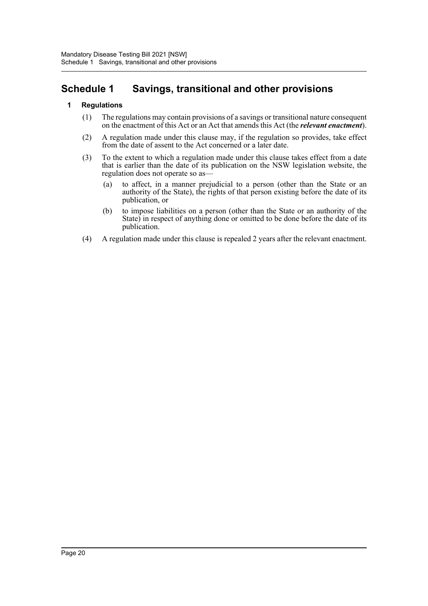# <span id="page-21-0"></span>**Schedule 1 Savings, transitional and other provisions**

# **1 Regulations**

- (1) The regulations may contain provisions of a savings or transitional nature consequent on the enactment of this Act or an Act that amends this Act (the *relevant enactment*).
- (2) A regulation made under this clause may, if the regulation so provides, take effect from the date of assent to the Act concerned or a later date.
- (3) To the extent to which a regulation made under this clause takes effect from a date that is earlier than the date of its publication on the NSW legislation website, the regulation does not operate so as—
	- (a) to affect, in a manner prejudicial to a person (other than the State or an authority of the State), the rights of that person existing before the date of its publication, or
	- (b) to impose liabilities on a person (other than the State or an authority of the State) in respect of anything done or omitted to be done before the date of its publication.
- (4) A regulation made under this clause is repealed 2 years after the relevant enactment.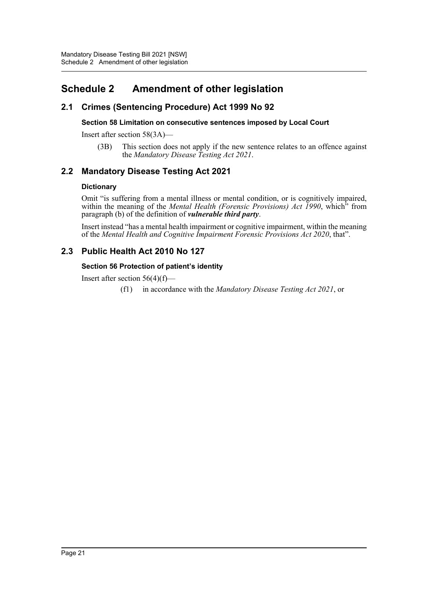# <span id="page-22-0"></span>**Schedule 2 Amendment of other legislation**

# **2.1 Crimes (Sentencing Procedure) Act 1999 No 92**

# **Section 58 Limitation on consecutive sentences imposed by Local Court**

Insert after section 58(3A)—

(3B) This section does not apply if the new sentence relates to an offence against the *Mandatory Disease Testing Act 2021*.

# **2.2 Mandatory Disease Testing Act 2021**

### **Dictionary**

Omit "is suffering from a mental illness or mental condition, or is cognitively impaired, within the meaning of the *Mental Health (Forensic Provisions) Act 1990*, which<sup>3</sup> from paragraph (b) of the definition of *vulnerable third party*.

Insert instead "has a mental health impairment or cognitive impairment, within the meaning of the *Mental Health and Cognitive Impairment Forensic Provisions Act 2020*, that".

# **2.3 Public Health Act 2010 No 127**

### **Section 56 Protection of patient's identity**

Insert after section  $56(4)(f)$ —

(f1) in accordance with the *Mandatory Disease Testing Act 2021*, or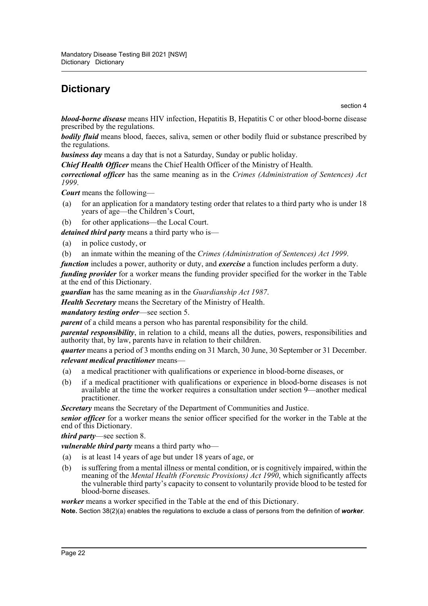# <span id="page-23-0"></span>**Dictionary**

section 4

*blood-borne disease* means HIV infection, Hepatitis B, Hepatitis C or other blood-borne disease prescribed by the regulations.

*bodily fluid* means blood, faeces, saliva, semen or other bodily fluid or substance prescribed by the regulations.

*business day* means a day that is not a Saturday, Sunday or public holiday.

*Chief Health Officer* means the Chief Health Officer of the Ministry of Health.

*correctional officer* has the same meaning as in the *Crimes (Administration of Sentences) Act 1999*.

*Court* means the following—

- (a) for an application for a mandatory testing order that relates to a third party who is under 18 years of age—the Children's Court,
- (b) for other applications—the Local Court.

*detained third party* means a third party who is—

- (a) in police custody, or
- (b) an inmate within the meaning of the *Crimes (Administration of Sentences) Act 1999*.
- *function* includes a power, authority or duty, and *exercise* a function includes perform a duty.

*funding provider* for a worker means the funding provider specified for the worker in the Table at the end of this Dictionary.

*guardian* has the same meaning as in the *Guardianship Act 1987*.

*Health Secretary* means the Secretary of the Ministry of Health.

#### *mandatory testing order*—see section 5.

*parent* of a child means a person who has parental responsibility for the child.

*parental responsibility*, in relation to a child, means all the duties, powers, responsibilities and authority that, by law, parents have in relation to their children.

*quarter* means a period of 3 months ending on 31 March, 30 June, 30 September or 31 December. *relevant medical practitioner* means—

- (a) a medical practitioner with qualifications or experience in blood-borne diseases, or
- (b) if a medical practitioner with qualifications or experience in blood-borne diseases is not available at the time the worker requires a consultation under section 9—another medical practitioner.

*Secretary* means the Secretary of the Department of Communities and Justice.

*senior officer* for a worker means the senior officer specified for the worker in the Table at the end of this Dictionary.

*third party*—see section 8.

*vulnerable third party* means a third party who—

- (a) is at least 14 years of age but under 18 years of age, or
- (b) is suffering from a mental illness or mental condition, or is cognitively impaired, within the meaning of the *Mental Health (Forensic Provisions) Act 1990*, which significantly affects the vulnerable third party's capacity to consent to voluntarily provide blood to be tested for blood-borne diseases.

*worker* means a worker specified in the Table at the end of this Dictionary.

**Note.** Section 38(2)(a) enables the regulations to exclude a class of persons from the definition of *worker*.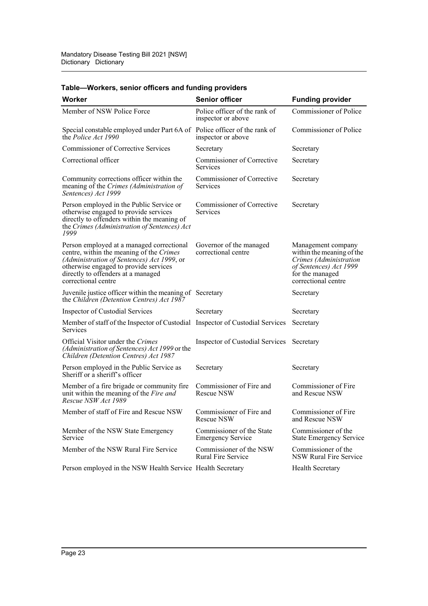| Worker                                                                                                                                                                                                                                    | <b>Senior officer</b>                                 | <b>Funding provider</b>                                                                                                                       |
|-------------------------------------------------------------------------------------------------------------------------------------------------------------------------------------------------------------------------------------------|-------------------------------------------------------|-----------------------------------------------------------------------------------------------------------------------------------------------|
| Member of NSW Police Force                                                                                                                                                                                                                | Police officer of the rank of<br>inspector or above   | Commissioner of Police                                                                                                                        |
| Special constable employed under Part 6A of Police officer of the rank of<br>the Police Act 1990                                                                                                                                          | inspector or above                                    | Commissioner of Police                                                                                                                        |
| <b>Commissioner of Corrective Services</b>                                                                                                                                                                                                | Secretary                                             | Secretary                                                                                                                                     |
| Correctional officer                                                                                                                                                                                                                      | Commissioner of Corrective<br>Services                | Secretary                                                                                                                                     |
| Community corrections officer within the<br>meaning of the Crimes (Administration of<br>Sentences) Act 1999                                                                                                                               | Commissioner of Corrective<br><b>Services</b>         | Secretary                                                                                                                                     |
| Person employed in the Public Service or<br>otherwise engaged to provide services<br>directly to offenders within the meaning of<br>the Crimes (Administration of Sentences) Act<br>1999                                                  | Commissioner of Corrective<br>Services                | Secretary                                                                                                                                     |
| Person employed at a managed correctional<br>centre, within the meaning of the Crimes<br>(Administration of Sentences) Act 1999, or<br>otherwise engaged to provide services<br>directly to offenders at a managed<br>correctional centre | Governor of the managed<br>correctional centre        | Management company<br>within the meaning of the<br>Crimes (Administration<br>of Sentences) Act 1999<br>for the managed<br>correctional centre |
| Juvenile justice officer within the meaning of Secretary<br>the Children (Detention Centres) Act 1987                                                                                                                                     |                                                       | Secretary                                                                                                                                     |
| Inspector of Custodial Services                                                                                                                                                                                                           | Secretary                                             | Secretary                                                                                                                                     |
| Member of staff of the Inspector of Custodial Inspector of Custodial Services<br><b>Services</b>                                                                                                                                          |                                                       | Secretary                                                                                                                                     |
| Official Visitor under the Crimes<br>(Administration of Sentences) Act 1999 or the<br>Children (Detention Centres) Act 1987                                                                                                               | Inspector of Custodial Services                       | Secretary                                                                                                                                     |
| Person employed in the Public Service as<br>Sheriff or a sheriff's officer                                                                                                                                                                | Secretary                                             | Secretary                                                                                                                                     |
| Member of a fire brigade or community fire<br>unit within the meaning of the Fire and<br>Rescue NSW Act 1989                                                                                                                              | Commissioner of Fire and<br>Rescue NSW                | Commissioner of Fire<br>and Rescue NSW                                                                                                        |
| Member of staff of Fire and Rescue NSW                                                                                                                                                                                                    | Commissioner of Fire and<br>Rescue NSW                | Commissioner of Fire<br>and Rescue NSW                                                                                                        |
| Member of the NSW State Emergency<br>Service                                                                                                                                                                                              | Commissioner of the State<br><b>Emergency Service</b> | Commissioner of the<br><b>State Emergency Service</b>                                                                                         |
| Member of the NSW Rural Fire Service                                                                                                                                                                                                      | Commissioner of the NSW<br><b>Rural Fire Service</b>  | Commissioner of the<br><b>NSW Rural Fire Service</b>                                                                                          |
| Person employed in the NSW Health Service Health Secretary                                                                                                                                                                                |                                                       | Health Secretary                                                                                                                              |

# **Table—Workers, senior officers and funding providers**